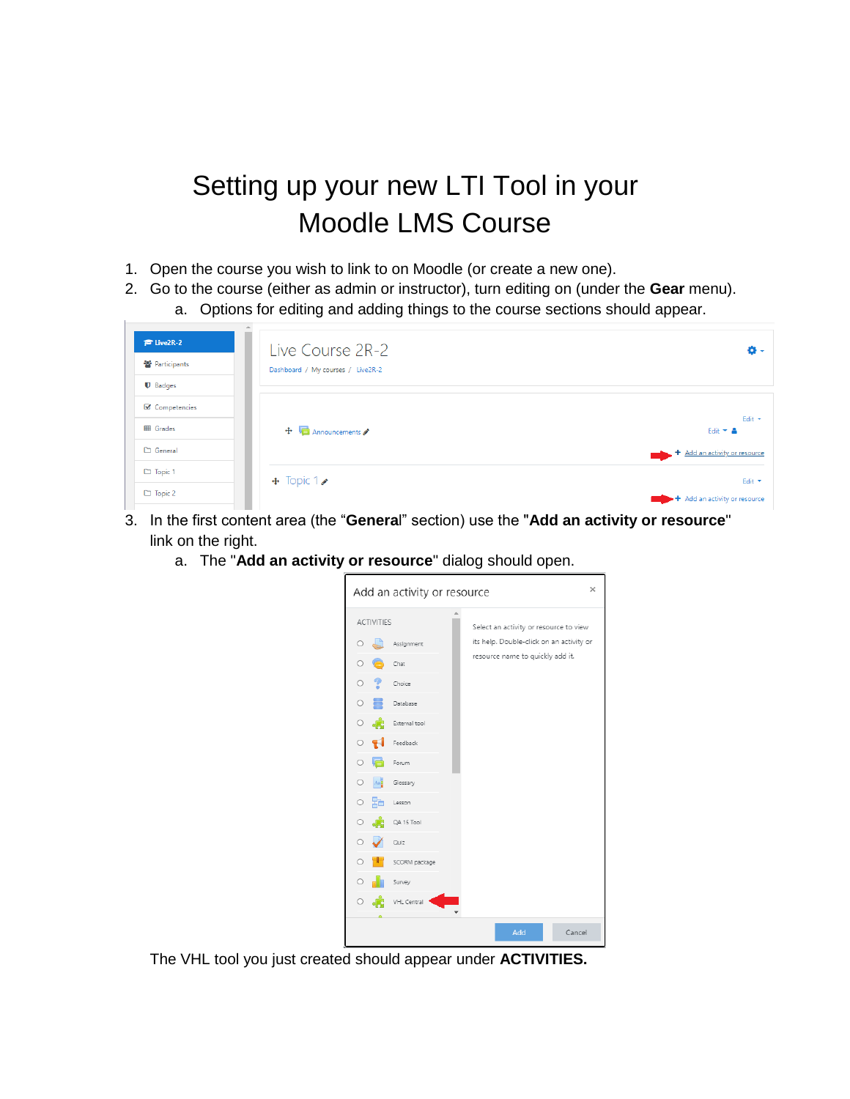## Setting up your new LTI Tool in your Moodle LMS Course

- 1. Open the course you wish to link to on Moodle (or create a new one).
- 2. Go to the course (either as admin or instructor), turn editing on (under the **Gear** menu).
	- a. Options for editing and adding things to the course sections should appear.

| $F$ Live2R-2     | Live Course 2R-2                  | o.                              |
|------------------|-----------------------------------|---------------------------------|
| ₩ Participants   | Dashboard / My courses / Live2R-2 |                                 |
| <b>U</b> Badges  |                                   |                                 |
| ■ Competencies   |                                   | Edit $\sim$                     |
| <b>ED</b> Grades | $\bigoplus$ Announcements         | Edit $\overline{\phantom{a}}$ & |
| General          |                                   | + Add an activity or resource   |
| $\Box$ Topic 1   | $\div$ Topic 1                    | Edit *                          |
| $\Box$ Topic 2   |                                   | + Add an activity or resource   |

- 3. In the first content area (the "**Genera**l" section) use the "**Add an activity or resource**" link on the right.
	- a. The "**Add an activity or resource**" dialog should open.



The VHL tool you just created should appear under **ACTIVITIES.**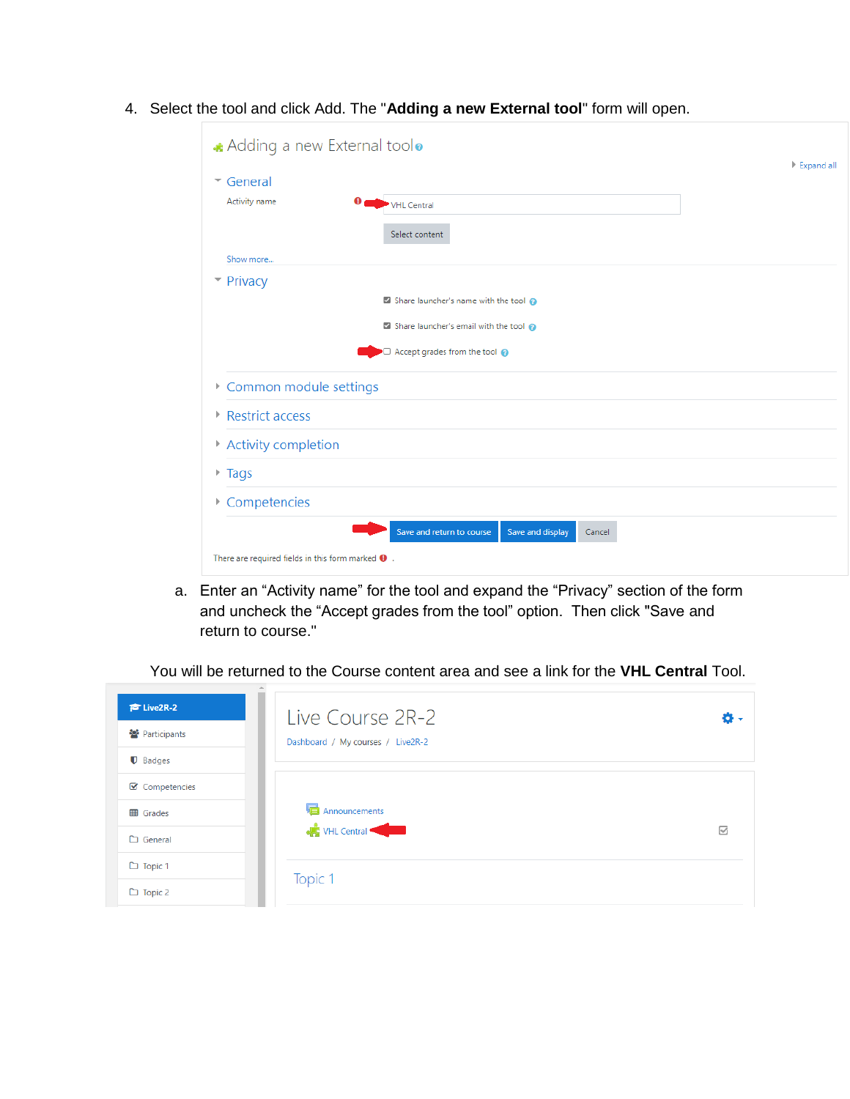| $\overline{\phantom{a}}$ General |                                            |  |
|----------------------------------|--------------------------------------------|--|
| Activity name                    | Ω<br>VHL Central                           |  |
|                                  | Select content                             |  |
| Show more                        |                                            |  |
| $\blacktriangleright$ Privacy    |                                            |  |
|                                  | Share launcher's name with the tool        |  |
|                                  | Share launcher's email with the tool       |  |
|                                  | $\Box$ Accept grades from the tool $\odot$ |  |
| Common module settings           |                                            |  |
| Restrict access                  |                                            |  |
| Activity completion              |                                            |  |
| $\triangleright$ Tags            |                                            |  |
| Competencies                     |                                            |  |
|                                  |                                            |  |

4. Select the tool and click Add. The "**Adding a new External tool**" form will open.

a. Enter an "Activity name" for the tool and expand the "Privacy" section of the form and uncheck the "Accept grades from the tool" option. Then click "Save and return to course."

You will be returned to the Course content area and see a link for the **VHL Central** Tool.

| $\approx$ Live2R-2<br><sup>2</sup> Participants                      | Live Course 2R-2<br>Dashboard / My courses / Live2R-2 | o.              |
|----------------------------------------------------------------------|-------------------------------------------------------|-----------------|
| $\blacksquare$ Badges<br>$\boxtimes$ Competencies<br><b>田</b> Grades | Announcements                                         |                 |
| $\Box$ General                                                       | <b>C</b> VHL Central                                  | $\triangledown$ |
| $\Box$ Topic 1<br>$\Box$ Topic 2                                     | Topic 1                                               |                 |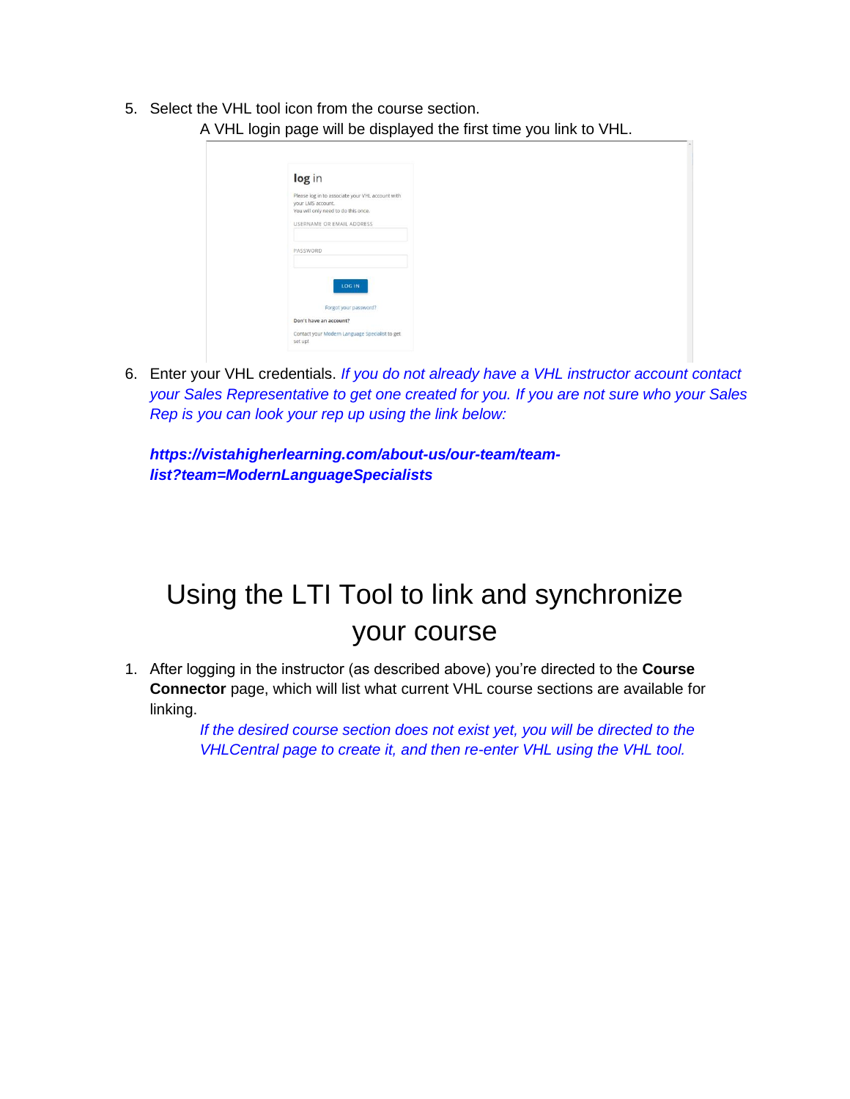5. Select the VHL tool icon from the course section. A VHL login page will be displayed the first time you link to VHL.

| Please log in to associate your VHL account with<br>your LMS account.<br>You will only need to do this once.<br>USERNAME OR EMAIL ADDRESS<br>PASSWORD<br>LOG IN<br>Forgot your password?<br>Don't have an account?<br>Contact your Modern Language Specialist to get | log in |  |
|----------------------------------------------------------------------------------------------------------------------------------------------------------------------------------------------------------------------------------------------------------------------|--------|--|
|                                                                                                                                                                                                                                                                      |        |  |
|                                                                                                                                                                                                                                                                      |        |  |
|                                                                                                                                                                                                                                                                      |        |  |
|                                                                                                                                                                                                                                                                      |        |  |
|                                                                                                                                                                                                                                                                      |        |  |
|                                                                                                                                                                                                                                                                      |        |  |
|                                                                                                                                                                                                                                                                      |        |  |
|                                                                                                                                                                                                                                                                      |        |  |
|                                                                                                                                                                                                                                                                      |        |  |
|                                                                                                                                                                                                                                                                      |        |  |
| set up!                                                                                                                                                                                                                                                              |        |  |

6. Enter your VHL credentials. *If you do not already have a VHL instructor account contact your Sales Representative to get one created for you. If you are not sure who your Sales Rep is you can look your rep up using the link below:*

ш

*https://vistahigherlearning.com/about-us/our-team/teamlist?team=ModernLanguageSpecialists*

## Using the LTI Tool to link and synchronize your course

1. After logging in the instructor (as described above) you're directed to the **Course Connector** page, which will list what current VHL course sections are available for linking.

> *If the desired course section does not exist yet, you will be directed to the VHLCentral page to create it, and then re-enter VHL using the VHL tool.*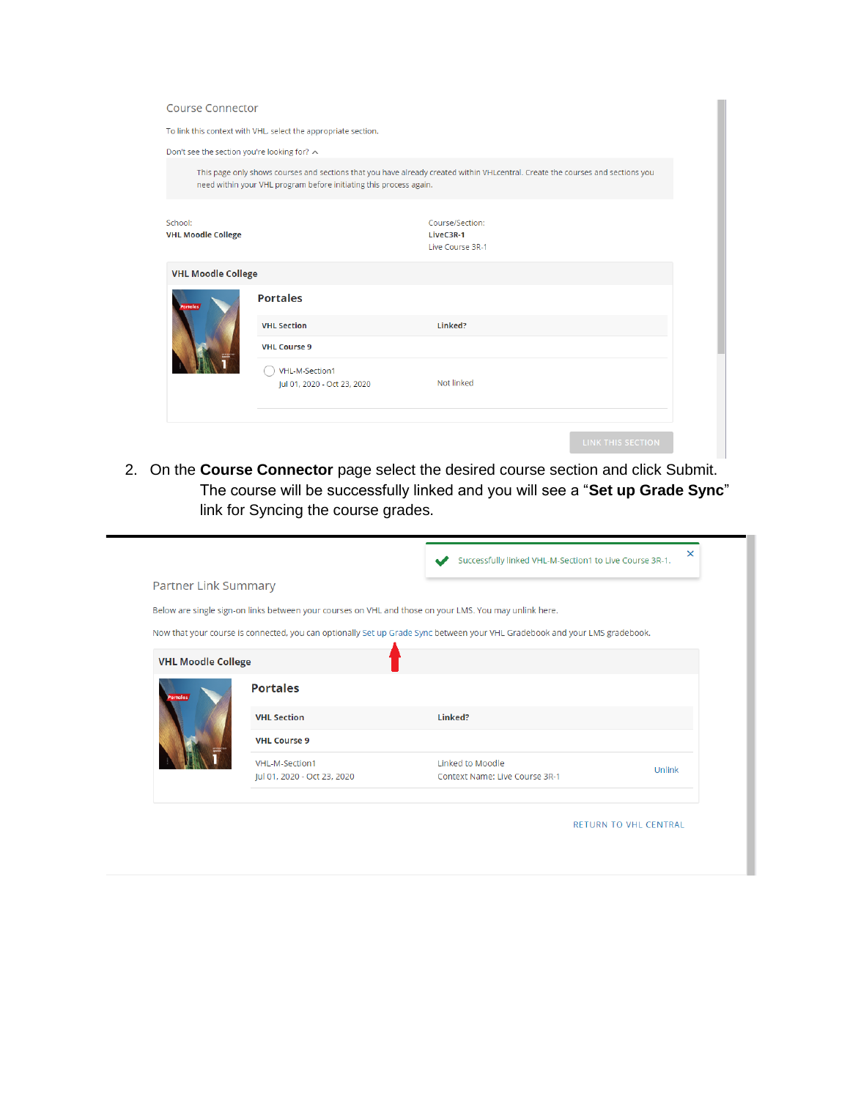| <b>Course Connector</b>                     |                                                                    |                                                                                                                                |
|---------------------------------------------|--------------------------------------------------------------------|--------------------------------------------------------------------------------------------------------------------------------|
|                                             | To link this context with VHL, select the appropriate section.     |                                                                                                                                |
| Don't see the section you're looking for? ∧ |                                                                    |                                                                                                                                |
|                                             | need within your VHL program before initiating this process again. | This page only shows courses and sections that you have already created within VHLcentral. Create the courses and sections you |
| School:<br><b>VHL Moodle College</b>        |                                                                    | Course/Section:<br>LiveC3R-1<br>Live Course 3R-1                                                                               |
| <b>VHL Moodle College</b>                   |                                                                    |                                                                                                                                |
| <b>Portales</b>                             | <b>Portales</b>                                                    |                                                                                                                                |
|                                             | <b>VHL Section</b>                                                 | Linked?                                                                                                                        |
|                                             | <b>VHL Course 9</b>                                                |                                                                                                                                |
|                                             | VHL-M-Section1<br>Jul 01, 2020 - Oct 23, 2020                      | Not linked                                                                                                                     |
|                                             |                                                                    |                                                                                                                                |
|                                             |                                                                    | <b>LINK THIS SECTION</b>                                                                                                       |

2. On the **Course Connector** page select the desired course section and click Submit. The course will be successfully linked and you will see a "**Set up Grade Sync**" link for Syncing the course grades.

|                             |                                               | Successfully linked VHL-M-Section1 to Live Course 3R-1.                                                                    | ×                            |
|-----------------------------|-----------------------------------------------|----------------------------------------------------------------------------------------------------------------------------|------------------------------|
| <b>Partner Link Summary</b> |                                               |                                                                                                                            |                              |
|                             |                                               | Below are single sign-on links between your courses on VHL and those on your LMS. You may unlink here.                     |                              |
|                             |                                               | Now that your course is connected, you can optionally Set up Grade Sync between your VHL Gradebook and your LMS gradebook. |                              |
| <b>VHL Moodle College</b>   |                                               |                                                                                                                            |                              |
| ortales                     | <b>Portales</b>                               |                                                                                                                            |                              |
|                             | <b>VHL Section</b>                            | Linked?                                                                                                                    |                              |
|                             | <b>VHL Course 9</b>                           |                                                                                                                            |                              |
|                             | VHL-M-Section1<br>Jul 01, 2020 - Oct 23, 2020 | <b>Linked to Moodle</b><br>Context Name: Live Course 3R-1                                                                  | Unlink                       |
|                             |                                               |                                                                                                                            |                              |
|                             |                                               |                                                                                                                            | <b>RETURN TO VHL CENTRAL</b> |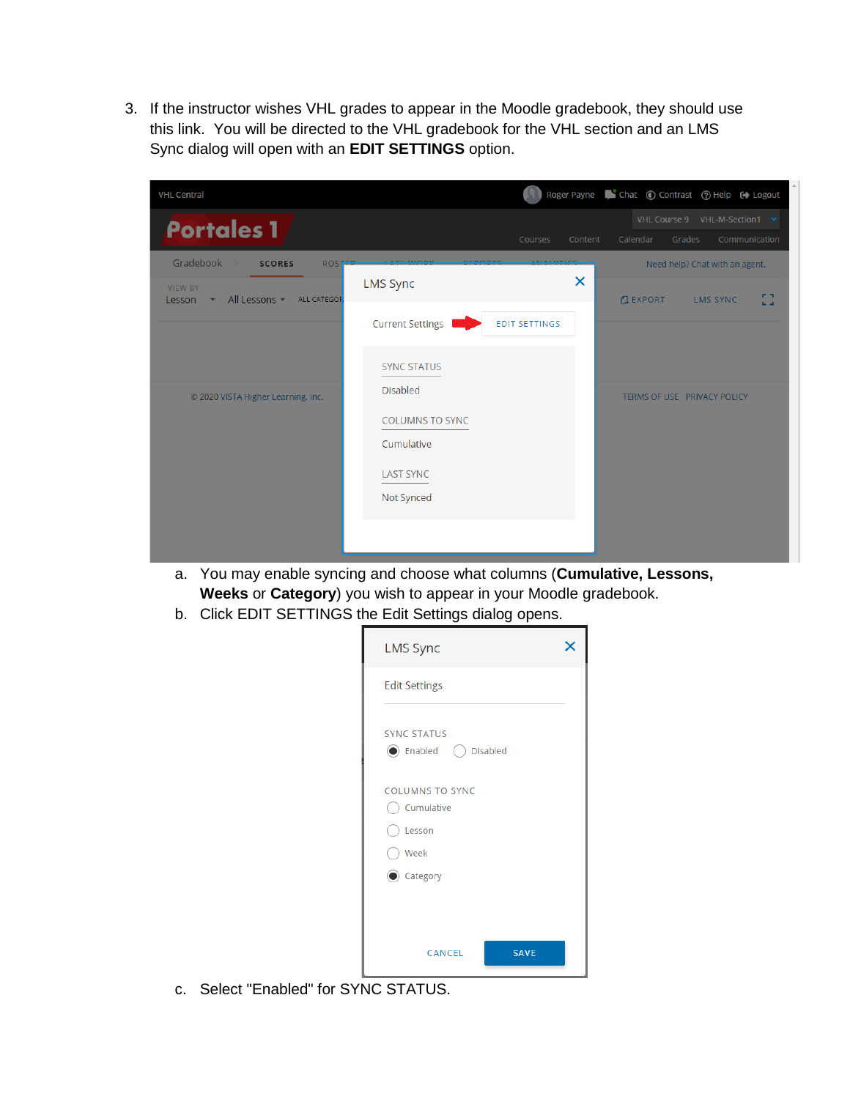3. If the instructor wishes VHL grades to appear in the Moodle gradebook, they should use this link. You will be directed to the VHL gradebook for the VHL section and an LMS Sync dialog will open with an **EDIT SETTINGS** option.

| <b>VHL Central</b>                                                                                      |                                                                                           |                           |                | Roger Payne Chat © Contrast © Help C Logout                                                     |
|---------------------------------------------------------------------------------------------------------|-------------------------------------------------------------------------------------------|---------------------------|----------------|-------------------------------------------------------------------------------------------------|
| <b>Portales 1</b>                                                                                       |                                                                                           | <b>Courses</b><br>Content | Calendar       | VHL Course 9 VHL-M-Section1 ↓<br>Grades<br>Communication                                        |
| Gradebook<br><b>SCORES</b><br><b>ROS</b><br><b>VIEW BY</b><br>All Lessons<br>ALL CATEGOF<br>Lesson<br>۰ | <b>LMS Sync</b>                                                                           | $\times$                  | <b>GEXPORT</b> | Need help? Chat with an agent.<br><b>P.N.</b><br><b>LMS SYNC</b><br>$\mathbf{L}$ , $\mathbf{A}$ |
|                                                                                                         | <b>Current Settings</b>                                                                   | <b>EDIT SETTINGS</b>      |                |                                                                                                 |
|                                                                                                         | <b>SYNC STATUS</b>                                                                        |                           |                |                                                                                                 |
| © 2020 VISTA Higher Learning, Inc.                                                                      | <b>Disabled</b><br><b>COLUMNS TO SYNC</b><br>Cumulative<br><b>LAST SYNC</b><br>Not Synced |                           |                | TERMS OF USE PRIVACY POLICY                                                                     |
|                                                                                                         |                                                                                           |                           |                |                                                                                                 |

- a. You may enable syncing and choose what columns (**Cumulative, Lessons, Weeks** or **Category**) you wish to appear in your Moodle gradebook.
- b. Click EDIT SETTINGS the Edit Settings dialog opens.

| <b>LMS Sync</b>                                 |  |
|-------------------------------------------------|--|
| <b>Edit Settings</b>                            |  |
| <b>SYNC STATUS</b><br>(C) Enabled (C) Disabled  |  |
| <b>COLUMNS TO SYNC</b><br>Cumulative<br>Elesson |  |
| Week                                            |  |
| Category                                        |  |
| <b>SAVE</b><br>CANCEL                           |  |

c. Select "Enabled" for SYNC STATUS.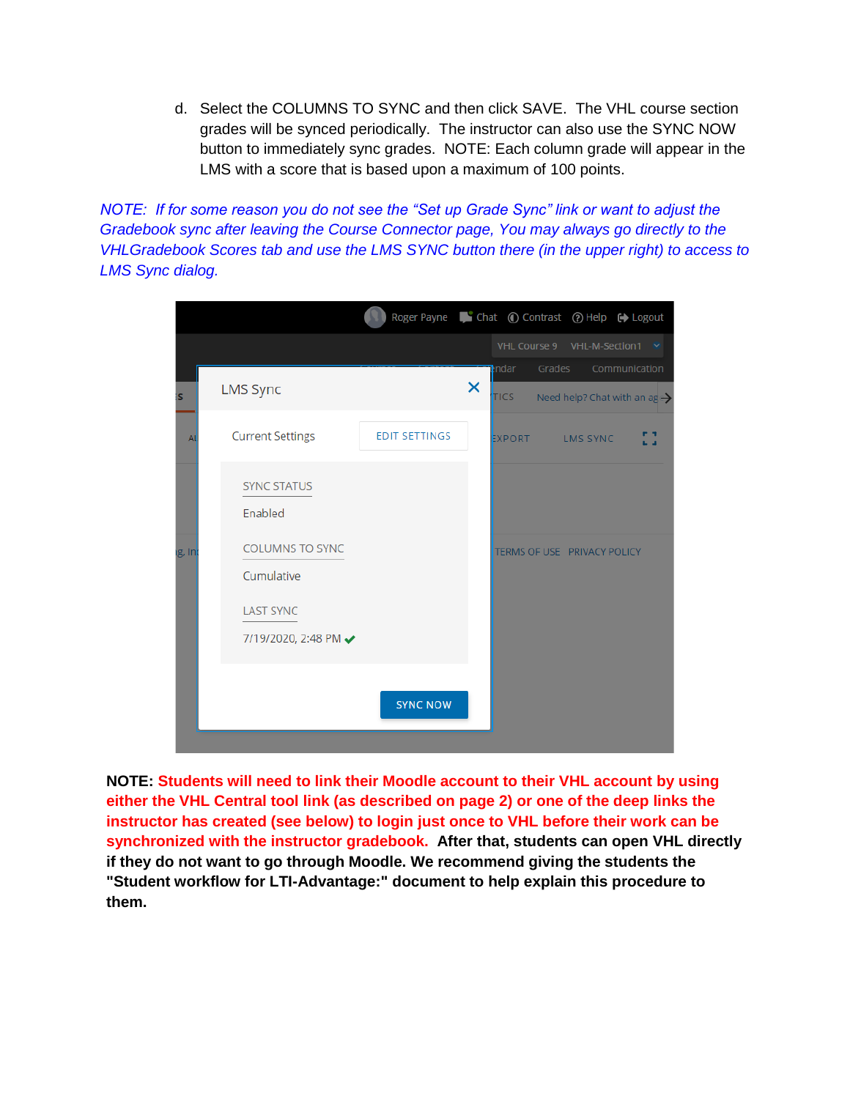d. Select the COLUMNS TO SYNC and then click SAVE. The VHL course section grades will be synced periodically. The instructor can also use the SYNC NOW button to immediately sync grades. NOTE: Each column grade will appear in the LMS with a score that is based upon a maximum of 100 points.

*NOTE: If for some reason you do not see the "Set up Grade Sync" link or want to adjust the Gradebook sync after leaving the Course Connector page, You may always go directly to the VHLGradebook Scores tab and use the LMS SYNC button there (in the upper right) to access to LMS Sync dialog.*

|           |                                                                                  | Roger Payne Chat © Contrast © Help C Logout |   |                                          |        |                 |               |                                          |
|-----------|----------------------------------------------------------------------------------|---------------------------------------------|---|------------------------------------------|--------|-----------------|---------------|------------------------------------------|
|           |                                                                                  |                                             |   | VHL Course 9 VHL-M-Section1 <del>∨</del> |        |                 |               |                                          |
| <b>is</b> | <b>LMS Sync</b>                                                                  |                                             | × | ndar i<br><b>TICS</b>                    | Grades |                 | Communication | Need help? Chat with an $ag \rightarrow$ |
| Al        | <b>Current Settings</b>                                                          | <b>EDIT SETTINGS</b>                        |   | EXPORT                                   |        | <b>LMS SYNC</b> |               | ь а                                      |
|           | <b>SYNC STATUS</b><br>Enabled                                                    |                                             |   |                                          |        |                 |               |                                          |
| ig, In    | <b>COLUMNS TO SYNC</b><br>Cumulative<br><b>LAST SYNC</b><br>7/19/2020, 2:48 PM ↓ |                                             |   | TERMS OF USE PRIVACY POLICY              |        |                 |               |                                          |
|           |                                                                                  | <b>SYNC NOW</b>                             |   |                                          |        |                 |               |                                          |

**NOTE: Students will need to link their Moodle account to their VHL account by using either the VHL Central tool link (as described on page 2) or one of the deep links the instructor has created (see below) to login just once to VHL before their work can be synchronized with the instructor gradebook. After that, students can open VHL directly if they do not want to go through Moodle. We recommend giving the students the "Student workflow for LTI-Advantage:" document to help explain this procedure to them.**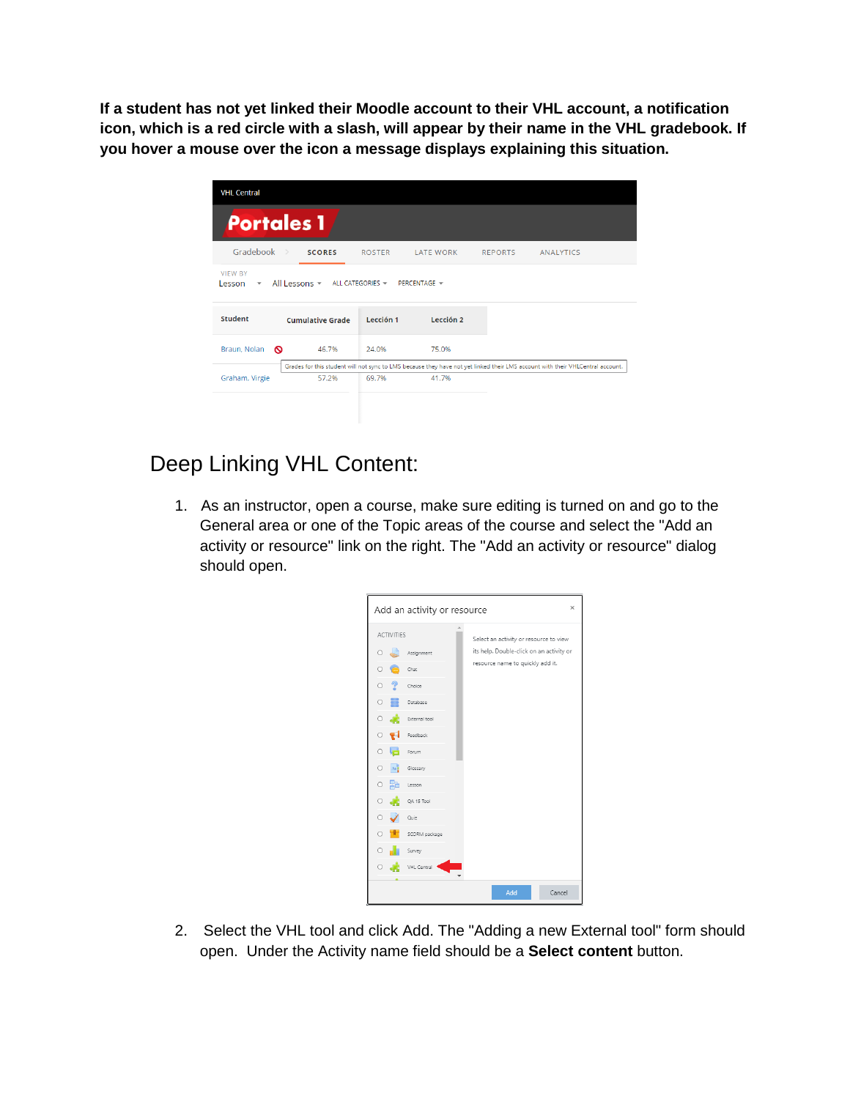**If a student has not yet linked their Moodle account to their VHL account, a notification icon, which is a red circle with a slash, will appear by their name in the VHL gradebook. If you hover a mouse over the icon a message displays explaining this situation.**

| <b>VHL Central</b>                       |                                             |               |                  |                |                                                                                                                                |
|------------------------------------------|---------------------------------------------|---------------|------------------|----------------|--------------------------------------------------------------------------------------------------------------------------------|
| <b>Portales 1</b>                        |                                             |               |                  |                |                                                                                                                                |
| Gradebook >                              | <b>SCORES</b>                               | <b>ROSTER</b> | <b>LATE WORK</b> | <b>REPORTS</b> | <b>ANALYTICS</b>                                                                                                               |
| <b>VIEW BY</b><br>Lesson<br>$\mathbf{v}$ | All Lessons v ALL CATEGORIES v PERCENTAGE v |               |                  |                |                                                                                                                                |
| <b>Student</b>                           | <b>Cumulative Grade</b>                     | Lección 1     | Lección 2        |                |                                                                                                                                |
| Braun, Nolan<br>ര                        | 46.7%                                       | 24.0%         | 75.0%            |                |                                                                                                                                |
|                                          |                                             |               |                  |                | Grades for this student will not sync to LMS because they have not yet linked their LMS account with their VHLCentral account. |
| Graham, Virgie                           | 57.2%                                       | 69.7%         | 41.7%            |                |                                                                                                                                |
|                                          |                                             |               |                  |                |                                                                                                                                |

## Deep Linking VHL Content:

1. As an instructor, open a course, make sure editing is turned on and go to the General area or one of the Topic areas of the course and select the "Add an activity or resource" link on the right. The "Add an activity or resource" dialog should open.



2. Select the VHL tool and click Add. The "Adding a new External tool" form should open. Under the Activity name field should be a **Select content** button.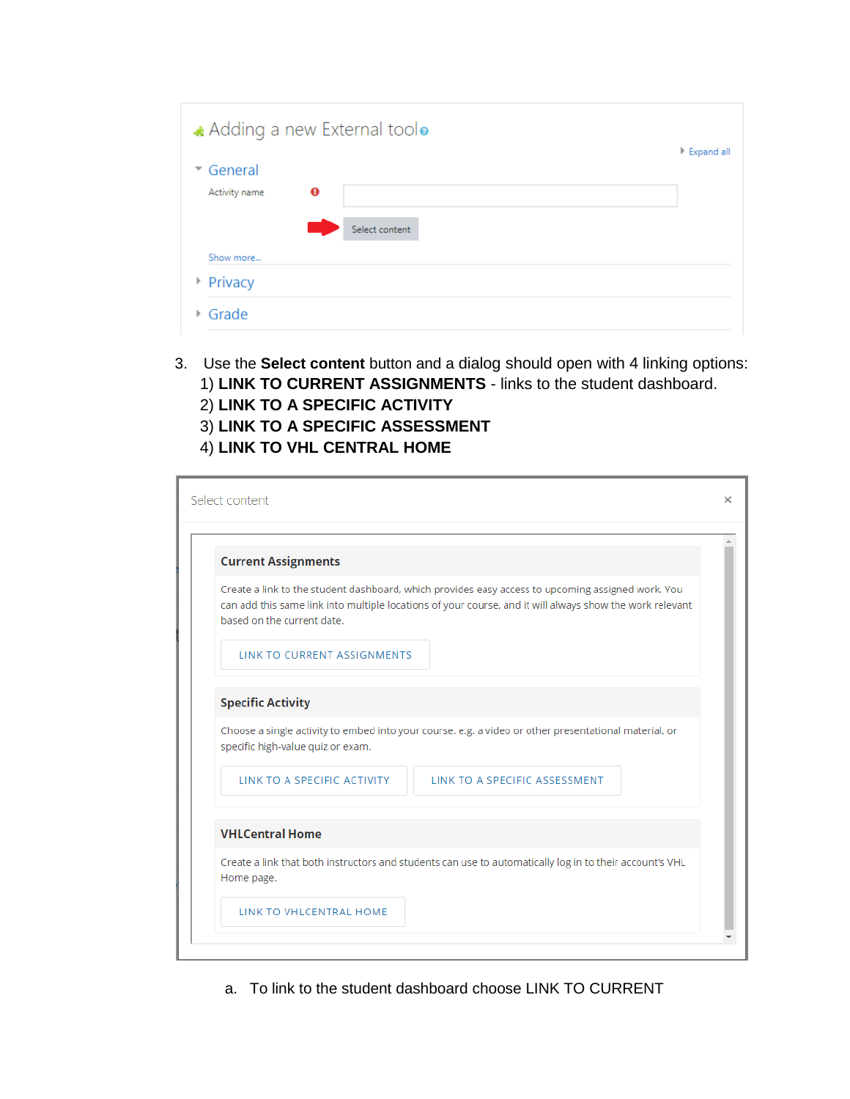| Adding a new External toolo | Expand all |
|-----------------------------|------------|
| ▼ General                   |            |
| $\bf{o}$<br>Activity name   |            |
| Select content              |            |
| Show more                   |            |
| Privacy                     |            |
| ▶ Grade                     |            |

3. Use the **Select content** button and a dialog should open with 4 linking options: 1) **LINK TO CURRENT ASSIGNMENTS** - links to the student dashboard. 2) **LINK TO A SPECIFIC ACTIVITY** 3) **LINK TO A SPECIFIC ASSESSMENT**

## 4) **LINK TO VHL CENTRAL HOME**

| <b>Current Assignments</b>         |                                                                                                                                                                                                               |
|------------------------------------|---------------------------------------------------------------------------------------------------------------------------------------------------------------------------------------------------------------|
| based on the current date.         | Create a link to the student dashboard, which provides easy access to upcoming assigned work. You<br>can add this same link into multiple locations of your course, and it will always show the work relevant |
| <b>LINK TO CURRENT ASSIGNMENTS</b> |                                                                                                                                                                                                               |
| <b>Specific Activity</b>           |                                                                                                                                                                                                               |
| specific high-value quiz or exam.  | Choose a single activity to embed into your course. e.g. a video or other presentational material, or                                                                                                         |
| LINK TO A SPECIFIC ACTIVITY        | LINK TO A SPECIFIC ASSESSMENT                                                                                                                                                                                 |
| <b>VHLCentral Home</b>             |                                                                                                                                                                                                               |
| Home page.                         | Create a link that both instructors and students can use to automatically log in to their account's VHL                                                                                                       |
|                                    |                                                                                                                                                                                                               |

a. To link to the student dashboard choose LINK TO CURRENT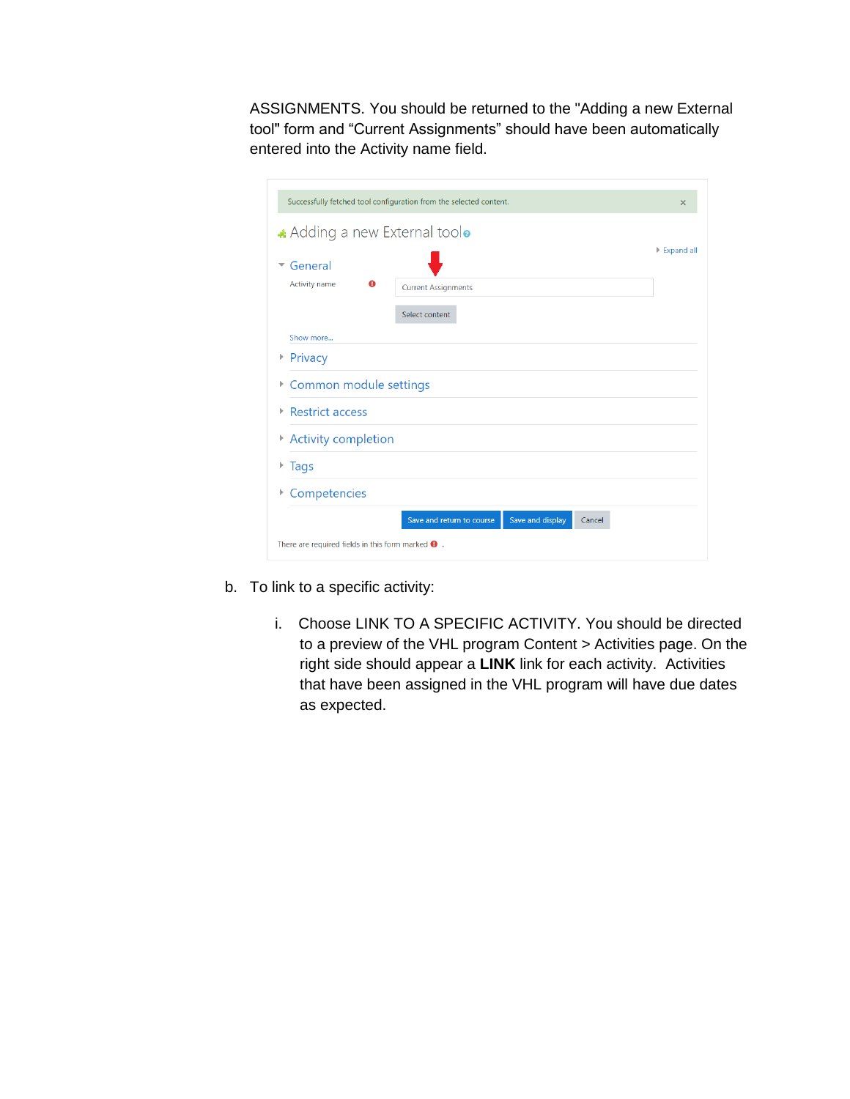ASSIGNMENTS. You should be returned to the "Adding a new External tool" form and "Current Assignments" should have been automatically entered into the Activity name field.

| Successfully fetched tool configuration from the selected content.<br>$\times$ |                                                         |            |
|--------------------------------------------------------------------------------|---------------------------------------------------------|------------|
| Adding a new External toolo                                                    |                                                         |            |
| General<br>$\overline{\phantom{0}}$                                            |                                                         | Expand all |
| Activity name<br>$\bullet$                                                     | <b>Current Assignments</b>                              |            |
|                                                                                | Select content                                          |            |
| Show more                                                                      |                                                         |            |
| ▶ Privacy                                                                      |                                                         |            |
| Common module settings<br>Þ                                                    |                                                         |            |
| ▶ Restrict access                                                              |                                                         |            |
| Activity completion                                                            |                                                         |            |
| Tags                                                                           |                                                         |            |
| Competencies<br>Þ                                                              |                                                         |            |
|                                                                                | Save and display<br>Save and return to course<br>Cancel |            |
| There are required fields in this form marked $\bullet$ .                      |                                                         |            |

- b. To link to a specific activity:
	- i. Choose LINK TO A SPECIFIC ACTIVITY. You should be directed to a preview of the VHL program Content > Activities page. On the right side should appear a **LINK** link for each activity. Activities that have been assigned in the VHL program will have due dates as expected.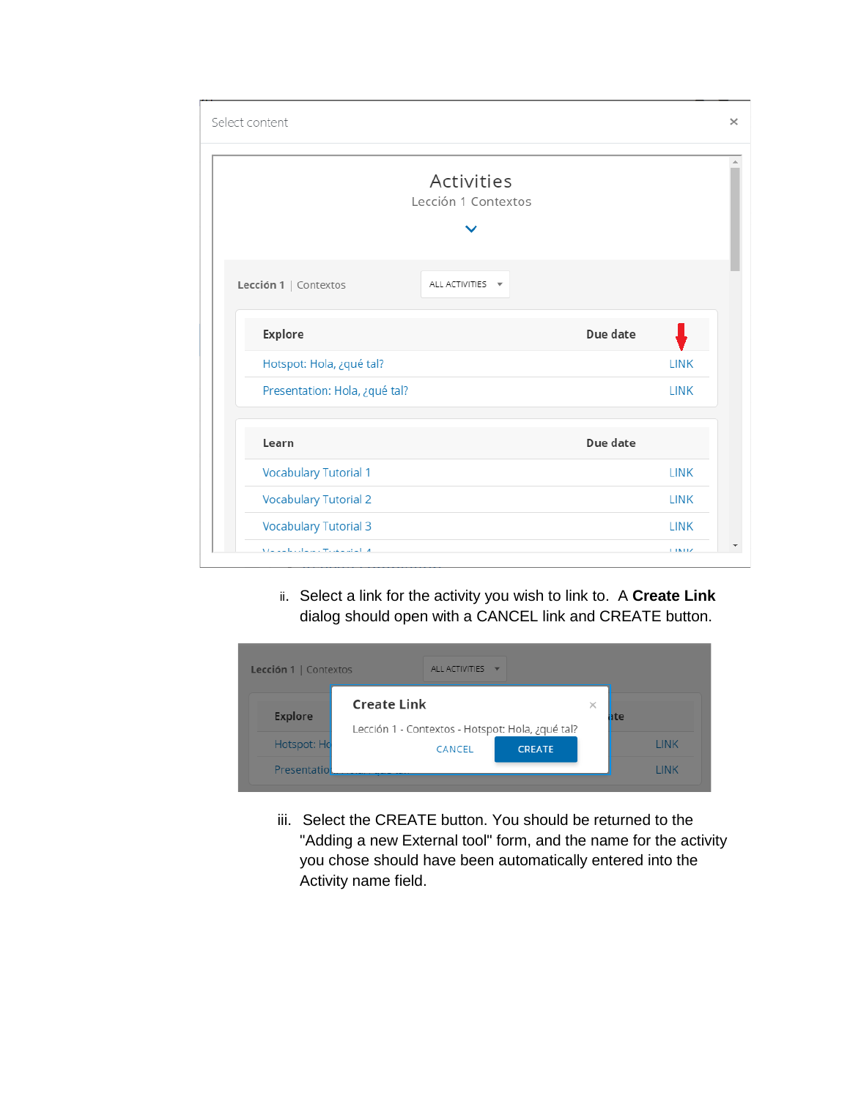| Select content                      |                                   |          | $\times$    |
|-------------------------------------|-----------------------------------|----------|-------------|
|                                     | Activities<br>Lección 1 Contextos |          |             |
| Lección 1   Contextos               | ALL ACTIVITIES ~                  |          |             |
| <b>Explore</b>                      |                                   | Due date |             |
| Hotspot: Hola, ¿qué tal?            |                                   |          | <b>LINK</b> |
| Presentation: Hola, ¿qué tal?       |                                   |          | <b>LINK</b> |
|                                     |                                   |          |             |
| Learn                               |                                   | Due date |             |
| <b>Vocabulary Tutorial 1</b>        |                                   |          | <b>LINK</b> |
| <b>Vocabulary Tutorial 2</b>        |                                   |          | <b>LINK</b> |
| <b>Vocabulary Tutorial 3</b>        |                                   |          | <b>LINK</b> |
| Marchael and a more than a start of |                                   |          | 1.18.11Z    |

 ii. Select a link for the activity you wish to link to. A **Create Link** dialog should open with a CANCEL link and CREATE button.

| Lección 1   Contextos             | ALL ACTIVITIES                                                         |   |               |
|-----------------------------------|------------------------------------------------------------------------|---|---------------|
| <b>Explore</b>                    | <b>Create Link</b><br>Lección 1 - Contextos - Hotspot: Hola, ¿qué tal? | × | iite          |
| Hotspot: Ho<br><b>Presentatio</b> | CANCEL<br><b>CREATE</b>                                                |   | LINK<br>I INK |

iii. Select the CREATE button. You should be returned to the "Adding a new External tool" form, and the name for the activity you chose should have been automatically entered into the Activity name field.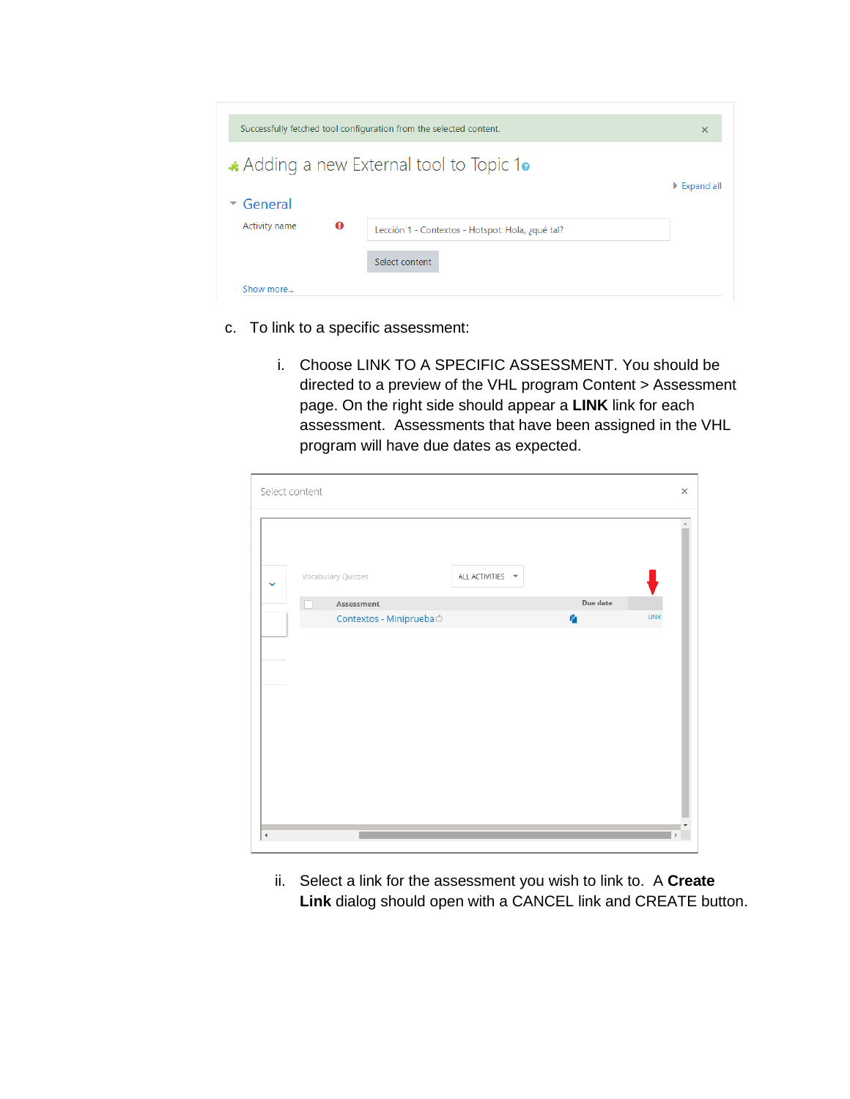| Successfully fetched tool configuration from the selected content. |                                                  | $\times$                    |
|--------------------------------------------------------------------|--------------------------------------------------|-----------------------------|
|                                                                    | Adding a new External tool to Topic 10           |                             |
| General                                                            |                                                  | $\triangleright$ Expand all |
| $\bullet$<br>Activity name                                         | Lección 1 - Contextos - Hotspot: Hola, ¿qué tal? |                             |
|                                                                    | Select content                                   |                             |
|                                                                    |                                                  |                             |

- c. To link to a specific assessment:
	- i. Choose LINK TO A SPECIFIC ASSESSMENT. You should be directed to a preview of the VHL program Content > Assessment page. On the right side should appear a **LINK** link for each assessment. Assessments that have been assigned in the VHL program will have due dates as expected.

| Select content       |                         |                                     |          | $\times$    |
|----------------------|-------------------------|-------------------------------------|----------|-------------|
| $\checkmark$         | Vocabulary Quizzes      | ALL ACTIVITIES $\blacktriangledown$ |          |             |
|                      | Assessment              |                                     | Due date |             |
|                      | Contextos - MinipruebaÓ |                                     | 権        | <b>LINK</b> |
|                      |                         |                                     |          |             |
| $\blacktriangleleft$ |                         |                                     |          |             |

ii. Select a link for the assessment you wish to link to. A **Create Link** dialog should open with a CANCEL link and CREATE button.